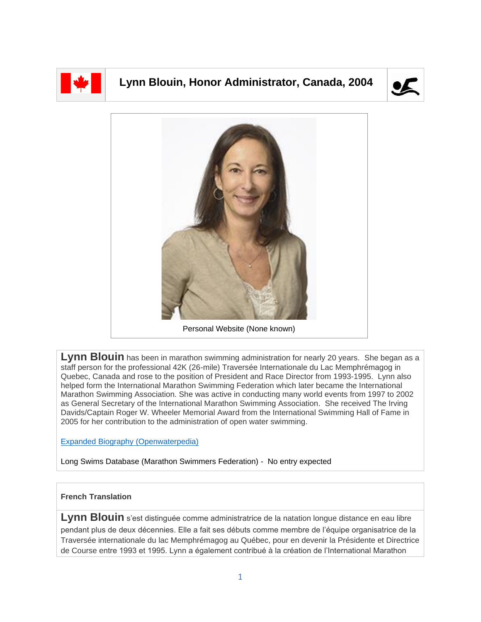

## **Lynn Blouin, Honor Administrator, Canada, 2004**





**Lynn Blouin** has been in marathon swimming administration for nearly 20 years. She began as a staff person for the professional 42K (26-mile) Traversée Internationale du Lac Memphrémagog in Quebec, Canada and rose to the position of President and Race Director from 1993-1995. Lynn also helped form the International Marathon Swimming Federation which later became the International Marathon Swimming Association. She was active in conducting many world events from 1997 to 2002 as General Secretary of the International Marathon Swimming Association. She received The Irving Davids/Captain Roger W. Wheeler Memorial Award from the International Swimming Hall of Fame in 2005 for her contribution to the administration of open water swimming.

[Expanded Biography](https://www.openwaterpedia.com/index.php?title=Lynn_Blouin) (Openwaterpedia)

Long Swims Database (Marathon Swimmers Federation) - No entry expected

## **French Translation**

Lynn Blouin s'est distinguée comme administratrice de la natation longue distance en eau libre pendant plus de deux décennies. Elle a fait ses débuts comme membre de l'équipe organisatrice de la Traversée internationale du lac Memphrémagog au Québec, pour en devenir la Présidente et Directrice de Course entre 1993 et 1995. Lynn a également contribué à la création de l'International Marathon